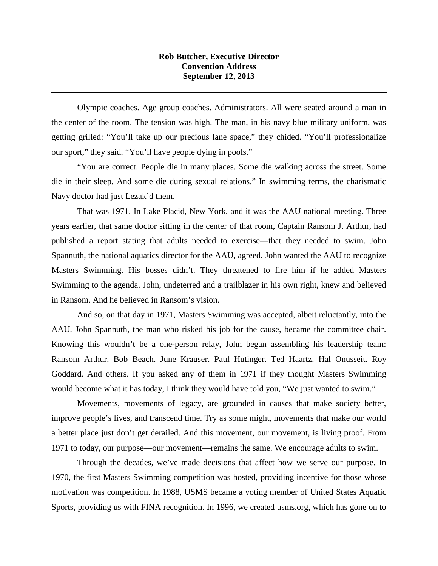## **Rob Butcher, Executive Director Convention Address September 12, 2013**

Olympic coaches. Age group coaches. Administrators. All were seated around a man in the center of the room. The tension was high. The man, in his navy blue military uniform, was getting grilled: "You'll take up our precious lane space," they chided. "You'll professionalize our sport," they said. "You'll have people dying in pools."

"You are correct. People die in many places. Some die walking across the street. Some die in their sleep. And some die during sexual relations." In swimming terms, the charismatic Navy doctor had just Lezak'd them.

That was 1971. In Lake Placid, New York, and it was the AAU national meeting. Three years earlier, that same doctor sitting in the center of that room, Captain Ransom J. Arthur, had published a report stating that adults needed to exercise—that they needed to swim. John Spannuth, the national aquatics director for the AAU, agreed. John wanted the AAU to recognize Masters Swimming. His bosses didn't. They threatened to fire him if he added Masters Swimming to the agenda. John, undeterred and a trailblazer in his own right, knew and believed in Ransom. And he believed in Ransom's vision.

And so, on that day in 1971, Masters Swimming was accepted, albeit reluctantly, into the AAU. John Spannuth, the man who risked his job for the cause, became the committee chair. Knowing this wouldn't be a one-person relay, John began assembling his leadership team: Ransom Arthur. Bob Beach. June Krauser. Paul Hutinger. Ted Haartz. Hal Onusseit. Roy Goddard. And others. If you asked any of them in 1971 if they thought Masters Swimming would become what it has today, I think they would have told you, "We just wanted to swim."

Movements, movements of legacy, are grounded in causes that make society better, improve people's lives, and transcend time. Try as some might, movements that make our world a better place just don't get derailed. And this movement, our movement, is living proof. From 1971 to today, our purpose—our movement—remains the same. We encourage adults to swim.

Through the decades, we've made decisions that affect how we serve our purpose. In 1970, the first Masters Swimming competition was hosted, providing incentive for those whose motivation was competition. In 1988, USMS became a voting member of United States Aquatic Sports, providing us with FINA recognition. In 1996, we created usms.org, which has gone on to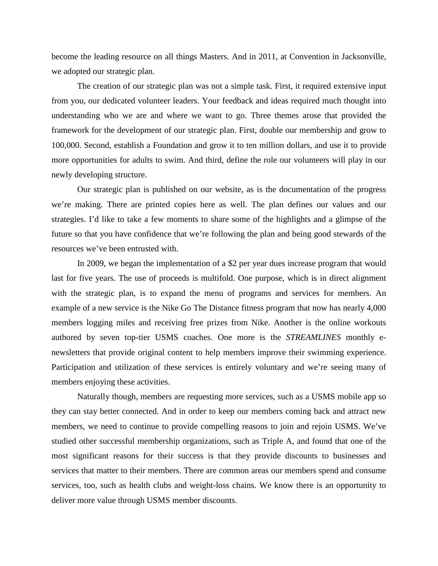become the leading resource on all things Masters. And in 2011, at Convention in Jacksonville, we adopted our strategic plan.

The creation of our strategic plan was not a simple task. First, it required extensive input from you, our dedicated volunteer leaders. Your feedback and ideas required much thought into understanding who we are and where we want to go. Three themes arose that provided the framework for the development of our strategic plan. First, double our membership and grow to 100,000. Second, establish a Foundation and grow it to ten million dollars, and use it to provide more opportunities for adults to swim. And third, define the role our volunteers will play in our newly developing structure.

Our strategic plan is published on our website, as is the documentation of the progress we're making. There are printed copies here as well. The plan defines our values and our strategies. I'd like to take a few moments to share some of the highlights and a glimpse of the future so that you have confidence that we're following the plan and being good stewards of the resources we've been entrusted with.

In 2009, we began the implementation of a \$2 per year dues increase program that would last for five years. The use of proceeds is multifold. One purpose, which is in direct alignment with the strategic plan, is to expand the menu of programs and services for members. An example of a new service is the Nike Go The Distance fitness program that now has nearly 4,000 members logging miles and receiving free prizes from Nike. Another is the online workouts authored by seven top-tier USMS coaches. One more is the *STREAMLINES* monthly enewsletters that provide original content to help members improve their swimming experience. Participation and utilization of these services is entirely voluntary and we're seeing many of members enjoying these activities.

Naturally though, members are requesting more services, such as a USMS mobile app so they can stay better connected. And in order to keep our members coming back and attract new members, we need to continue to provide compelling reasons to join and rejoin USMS. We've studied other successful membership organizations, such as Triple A, and found that one of the most significant reasons for their success is that they provide discounts to businesses and services that matter to their members. There are common areas our members spend and consume services, too, such as health clubs and weight-loss chains. We know there is an opportunity to deliver more value through USMS member discounts.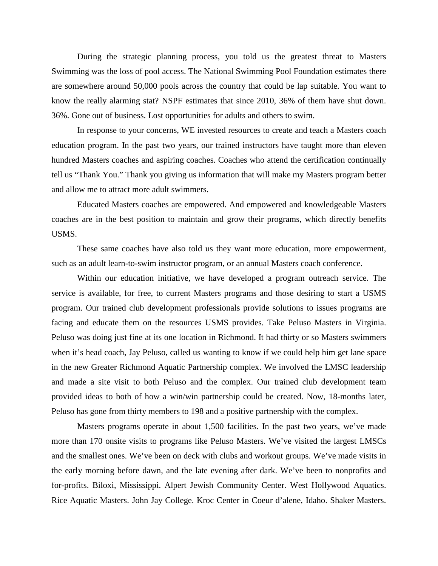During the strategic planning process, you told us the greatest threat to Masters Swimming was the loss of pool access. The National Swimming Pool Foundation estimates there are somewhere around 50,000 pools across the country that could be lap suitable. You want to know the really alarming stat? NSPF estimates that since 2010, 36% of them have shut down. 36%. Gone out of business. Lost opportunities for adults and others to swim.

In response to your concerns, WE invested resources to create and teach a Masters coach education program. In the past two years, our trained instructors have taught more than eleven hundred Masters coaches and aspiring coaches. Coaches who attend the certification continually tell us "Thank You." Thank you giving us information that will make my Masters program better and allow me to attract more adult swimmers.

Educated Masters coaches are empowered. And empowered and knowledgeable Masters coaches are in the best position to maintain and grow their programs, which directly benefits USMS.

These same coaches have also told us they want more education, more empowerment, such as an adult learn-to-swim instructor program, or an annual Masters coach conference.

Within our education initiative, we have developed a program outreach service. The service is available, for free, to current Masters programs and those desiring to start a USMS program. Our trained club development professionals provide solutions to issues programs are facing and educate them on the resources USMS provides. Take Peluso Masters in Virginia. Peluso was doing just fine at its one location in Richmond. It had thirty or so Masters swimmers when it's head coach, Jay Peluso, called us wanting to know if we could help him get lane space in the new Greater Richmond Aquatic Partnership complex. We involved the LMSC leadership and made a site visit to both Peluso and the complex. Our trained club development team provided ideas to both of how a win/win partnership could be created. Now, 18-months later, Peluso has gone from thirty members to 198 and a positive partnership with the complex.

Masters programs operate in about 1,500 facilities. In the past two years, we've made more than 170 onsite visits to programs like Peluso Masters. We've visited the largest LMSCs and the smallest ones. We've been on deck with clubs and workout groups. We've made visits in the early morning before dawn, and the late evening after dark. We've been to nonprofits and for-profits. Biloxi, Mississippi. Alpert Jewish Community Center. West Hollywood Aquatics. Rice Aquatic Masters. John Jay College. Kroc Center in Coeur d'alene, Idaho. Shaker Masters.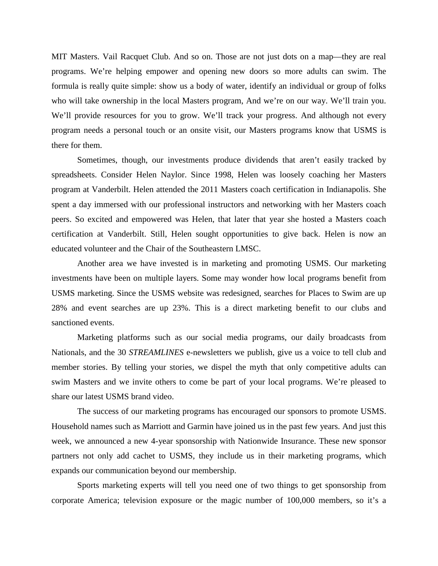MIT Masters. Vail Racquet Club. And so on. Those are not just dots on a map—they are real programs. We're helping empower and opening new doors so more adults can swim. The formula is really quite simple: show us a body of water, identify an individual or group of folks who will take ownership in the local Masters program, And we're on our way. We'll train you. We'll provide resources for you to grow. We'll track your progress. And although not every program needs a personal touch or an onsite visit, our Masters programs know that USMS is there for them.

Sometimes, though, our investments produce dividends that aren't easily tracked by spreadsheets. Consider Helen Naylor. Since 1998, Helen was loosely coaching her Masters program at Vanderbilt. Helen attended the 2011 Masters coach certification in Indianapolis. She spent a day immersed with our professional instructors and networking with her Masters coach peers. So excited and empowered was Helen, that later that year she hosted a Masters coach certification at Vanderbilt. Still, Helen sought opportunities to give back. Helen is now an educated volunteer and the Chair of the Southeastern LMSC.

Another area we have invested is in marketing and promoting USMS. Our marketing investments have been on multiple layers. Some may wonder how local programs benefit from USMS marketing. Since the USMS website was redesigned, searches for Places to Swim are up 28% and event searches are up 23%. This is a direct marketing benefit to our clubs and sanctioned events.

Marketing platforms such as our social media programs, our daily broadcasts from Nationals, and the 30 *STREAMLINES* e-newsletters we publish, give us a voice to tell club and member stories. By telling your stories, we dispel the myth that only competitive adults can swim Masters and we invite others to come be part of your local programs. We're pleased to share our latest USMS brand video.

The success of our marketing programs has encouraged our sponsors to promote USMS. Household names such as Marriott and Garmin have joined us in the past few years. And just this week, we announced a new 4-year sponsorship with Nationwide Insurance. These new sponsor partners not only add cachet to USMS, they include us in their marketing programs, which expands our communication beyond our membership.

Sports marketing experts will tell you need one of two things to get sponsorship from corporate America; television exposure or the magic number of 100,000 members, so it's a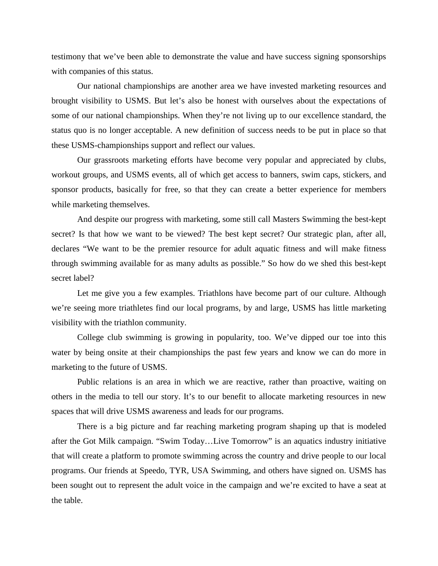testimony that we've been able to demonstrate the value and have success signing sponsorships with companies of this status.

Our national championships are another area we have invested marketing resources and brought visibility to USMS. But let's also be honest with ourselves about the expectations of some of our national championships. When they're not living up to our excellence standard, the status quo is no longer acceptable. A new definition of success needs to be put in place so that these USMS-championships support and reflect our values.

Our grassroots marketing efforts have become very popular and appreciated by clubs, workout groups, and USMS events, all of which get access to banners, swim caps, stickers, and sponsor products, basically for free, so that they can create a better experience for members while marketing themselves.

And despite our progress with marketing, some still call Masters Swimming the best-kept secret? Is that how we want to be viewed? The best kept secret? Our strategic plan, after all, declares "We want to be the premier resource for adult aquatic fitness and will make fitness through swimming available for as many adults as possible." So how do we shed this best-kept secret label?

Let me give you a few examples. Triathlons have become part of our culture. Although we're seeing more triathletes find our local programs, by and large, USMS has little marketing visibility with the triathlon community.

College club swimming is growing in popularity, too. We've dipped our toe into this water by being onsite at their championships the past few years and know we can do more in marketing to the future of USMS.

Public relations is an area in which we are reactive, rather than proactive, waiting on others in the media to tell our story. It's to our benefit to allocate marketing resources in new spaces that will drive USMS awareness and leads for our programs.

There is a big picture and far reaching marketing program shaping up that is modeled after the Got Milk campaign. "Swim Today…Live Tomorrow" is an aquatics industry initiative that will create a platform to promote swimming across the country and drive people to our local programs. Our friends at Speedo, TYR, USA Swimming, and others have signed on. USMS has been sought out to represent the adult voice in the campaign and we're excited to have a seat at the table.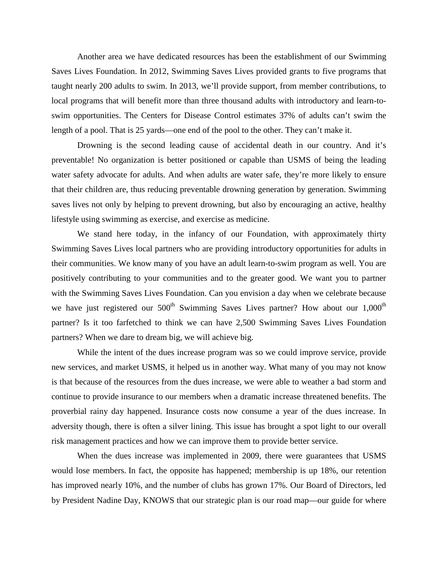Another area we have dedicated resources has been the establishment of our Swimming Saves Lives Foundation. In 2012, Swimming Saves Lives provided grants to five programs that taught nearly 200 adults to swim. In 2013, we'll provide support, from member contributions, to local programs that will benefit more than three thousand adults with introductory and learn-toswim opportunities. The Centers for Disease Control estimates 37% of adults can't swim the length of a pool. That is 25 yards—one end of the pool to the other. They can't make it.

Drowning is the second leading cause of accidental death in our country. And it's preventable! No organization is better positioned or capable than USMS of being the leading water safety advocate for adults. And when adults are water safe, they're more likely to ensure that their children are, thus reducing preventable drowning generation by generation. Swimming saves lives not only by helping to prevent drowning, but also by encouraging an active, healthy lifestyle using swimming as exercise, and exercise as medicine.

We stand here today, in the infancy of our Foundation, with approximately thirty Swimming Saves Lives local partners who are providing introductory opportunities for adults in their communities. We know many of you have an adult learn-to-swim program as well. You are positively contributing to your communities and to the greater good. We want you to partner with the Swimming Saves Lives Foundation. Can you envision a day when we celebrate because we have just registered our  $500<sup>th</sup>$  Swimming Saves Lives partner? How about our  $1,000<sup>th</sup>$ partner? Is it too farfetched to think we can have 2,500 Swimming Saves Lives Foundation partners? When we dare to dream big, we will achieve big.

While the intent of the dues increase program was so we could improve service, provide new services, and market USMS, it helped us in another way. What many of you may not know is that because of the resources from the dues increase, we were able to weather a bad storm and continue to provide insurance to our members when a dramatic increase threatened benefits. The proverbial rainy day happened. Insurance costs now consume a year of the dues increase. In adversity though, there is often a silver lining. This issue has brought a spot light to our overall risk management practices and how we can improve them to provide better service.

When the dues increase was implemented in 2009, there were guarantees that USMS would lose members. In fact, the opposite has happened; membership is up 18%, our retention has improved nearly 10%, and the number of clubs has grown 17%. Our Board of Directors, led by President Nadine Day, KNOWS that our strategic plan is our road map—our guide for where